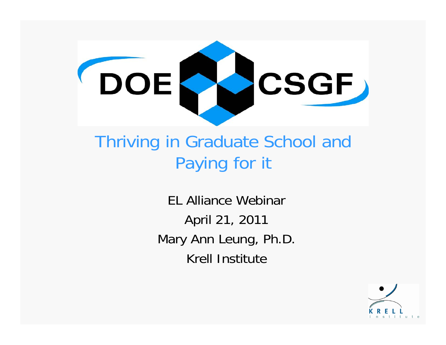

#### Thriving in Graduate School and Paying for it

EL Alliance WebinarApril 21, 2011 Mary Ann Leung, Ph.D. Krell Institute

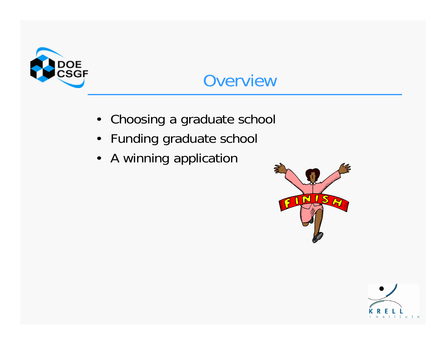

#### **Overview**

- Choosing a graduate school
- Funding graduate school
- A winning application



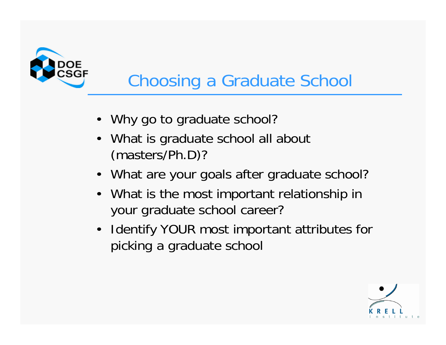

# Choosing a Graduate School

- Why go to graduate school?
- • What is graduate school all about (masters/Ph.D)?
- •What are your goals after graduate school?
- What is the most important relationship in your graduate school career?
- Identify YOUR most important attributes for picking a graduate school

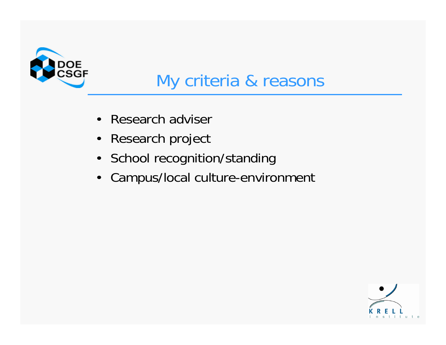

#### My criteria & reasons

- •Research adviser
- $\bullet$ Research project
- School recognition/standing
- $\bullet$ Campus/local culture-environment

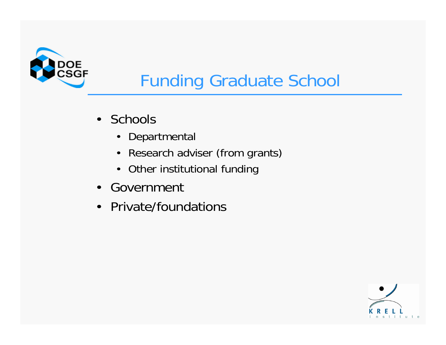

# Funding Graduate School

- Schools
	- $\bullet$ Departmental
	- •Research adviser (from grants)
	- •Other institutional funding
- Government
- Private/foundations

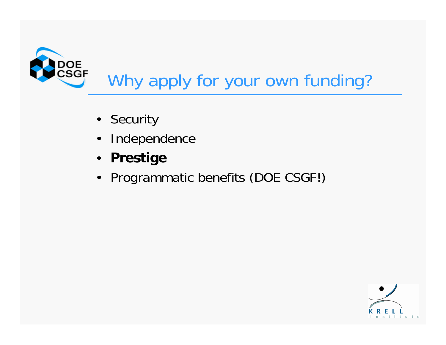

- Security
- $\bullet$ Independence
- $\bullet$ **Prestige**
- Programmatic benefits (DOE CSGF!)

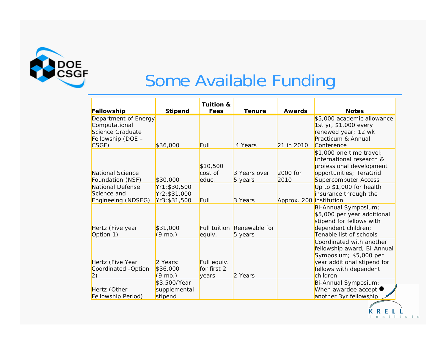

#### Some Available Funding

|                      |                   | <b>Tuition &amp;</b> |               |                         |                               |
|----------------------|-------------------|----------------------|---------------|-------------------------|-------------------------------|
| Fellowship           | <b>Stipend</b>    | Fees                 | <b>Tenure</b> | <b>Awards</b>           | <b>Notes</b>                  |
| Department of Energy |                   |                      |               |                         | \$5,000 academic allowance    |
| Computational        |                   |                      |               |                         | 1st yr, \$1,000 every         |
| Science Graduate     |                   |                      |               |                         | renewed year; 12 wk           |
| Fellowship (DOE -    |                   |                      |               |                         | Practicum & Annual            |
| CSGF)                | \$36,000          | Full                 | 4 Years       | 21 in 2010              | Conference                    |
|                      |                   |                      |               |                         | \$1,000 one time travel;      |
|                      |                   |                      |               |                         | International research &      |
|                      |                   | \$10,500             |               |                         | professional development      |
| National Science     |                   | cost of              | 3 Years over  | 2000 for                | opportunities; TeraGrid       |
| Foundation (NSF)     | \$30,000          | educ.                | 5 years       | 2010                    | Supercomputer Access          |
| National Defense     | Yr1: \$30,500     |                      |               |                         | Up to \$1,000 for health      |
| Science and          | Yr2: \$31,000     |                      |               |                         | insurance through the         |
| Engineeing (NDSEG)   | Yr3: \$31,500     | Full                 | 3 Years       | Approx. 200 institution |                               |
|                      |                   |                      |               |                         | Bi-Annual Symposium;          |
|                      |                   |                      |               |                         | \$5,000 per year additional   |
|                      |                   |                      |               |                         | stipend for fellows with      |
| Hertz (Five year     | \$31,000          | <b>Full tuition</b>  | Renewable for |                         | dependent children;           |
| Option 1)            | $(9 \text{ mo.})$ | equiv.               | 5 years       |                         | Tenable list of schools       |
|                      |                   |                      |               |                         | Coordinated with another      |
|                      |                   |                      |               |                         | fellowship award, Bi-Annual   |
|                      |                   |                      |               |                         | Symposium; \$5,000 per        |
| Hertz (Five Year     | 2 Years:          | Full equiv.          |               |                         | year additional stipend for   |
| Coordinated -Option  | \$36,000          | for first 2          |               |                         | fellows with dependent        |
| $\left( 2\right)$    | $(9 \text{ mo.})$ | years                | 2 Years       |                         | children                      |
|                      | \$3,500/Year      |                      |               |                         | Bi-Annual Symposium;          |
| Hertz (Other         | supplemental      |                      |               |                         | When awardee accept $\bullet$ |
| Fellowship Period)   | stipend           |                      |               |                         | another 3yr fellowship        |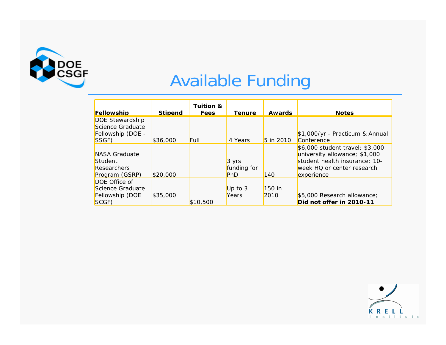

## Available Funding

|                    |                | Tuition & |                 | <b>Awards</b> |                                 |
|--------------------|----------------|-----------|-----------------|---------------|---------------------------------|
| Fellowship         | <b>Stipend</b> | Fees      | <b>Tenure</b>   |               | <b>Notes</b>                    |
| DOE Stewardship    |                |           |                 |               |                                 |
| Science Graduate   |                |           |                 |               |                                 |
| Fellowship (DOE -  |                |           |                 |               | \$1,000/yr - Practicum & Annual |
| SSGF)              | \$36,000       | Full      | 4 Years         | 5 in 2010     | Conference                      |
|                    |                |           |                 |               | \$6,000 student travel; \$3,000 |
| NASA Graduate      |                |           |                 |               | university allowance; \$1,000   |
| Student            |                |           | $3 \text{ yrs}$ |               | student health insurance; 10-   |
| <b>Researchers</b> |                |           | funding for     |               | week HQ or center research      |
| Program (GSRP)     | \$20,000       |           | <b>PhD</b>      | 140           | experience                      |
| DOE Office of      |                |           |                 |               |                                 |
| Science Graduate   |                |           | Up to $3$       | $150$ in      |                                 |
| Fellowship (DOE    | \$35,000       |           | Years           | 2010          | \$5,000 Research allowance;     |
| SCGF)              |                | \$10,500  |                 |               | Did not offer in 2010-11        |

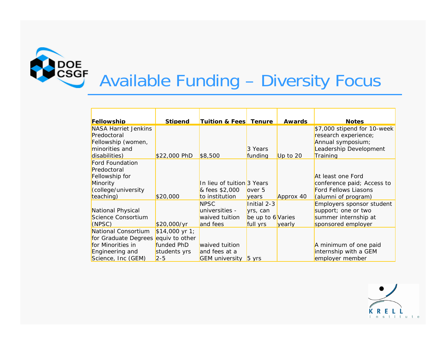

# Available Funding – Diversity Focus

| Fellowship                          | <b>Stipend</b>           | <b>Tuition &amp; Fees Tenure</b> |                   | <b>Awards</b> | <b>Notes</b>                |
|-------------------------------------|--------------------------|----------------------------------|-------------------|---------------|-----------------------------|
| <b>NASA Harriet Jenkins</b>         |                          |                                  |                   |               | \$7,000 stipend for 10-week |
| Predoctoral                         |                          |                                  |                   |               | research experience;        |
| Fellowship (women,                  |                          |                                  |                   |               | Annual symposium;           |
| minorities and                      |                          |                                  | 3 Years           |               | Leadership Development      |
| disabilities)                       | \$22,000 PhD             | \$8,500                          | funding           | Up to 20      | Training                    |
| <b>Ford Foundation</b>              |                          |                                  |                   |               |                             |
| Predoctoral                         |                          |                                  |                   |               |                             |
| Fellowship for                      |                          |                                  |                   |               | At least one Ford           |
| Minority                            |                          | In lieu of tuition 3 Years       |                   |               | conference paid; Access to  |
| (college/university                 |                          | & fees \$2,000                   | lover 5           |               | <b>Ford Fellows Liasons</b> |
| teaching)                           | \$20,000                 | to institution                   | vears             | Approx 40     | (alumni of program)         |
|                                     |                          | <b>NPSC</b>                      | Initial 2-3       |               | Employers sponsor student   |
| National Physical                   |                          | universities -                   | yrs, can          |               | support; one or two         |
| Science Consortium                  |                          | waived tuition                   | be up to 6 Varies |               | summer internship at        |
| (NPSC)                              | \$20,000/yr              | and fees                         | full yrs          | vearly        | sponsored employer          |
| National Consortium                 | $$14,000 \text{ yr } 1;$ |                                  |                   |               |                             |
| for Graduate Degrees equiv to other |                          |                                  |                   |               |                             |
| for Minorities in                   | funded PhD               | waived tuition                   |                   |               | A minimum of one paid       |
| Engineering and                     | students yrs             | and fees at a                    |                   |               | internship with a GEM       |
| Science, Inc (GEM)                  | $2 - 5$                  | <b>GEM</b> university 5 yrs      |                   |               | employer member             |

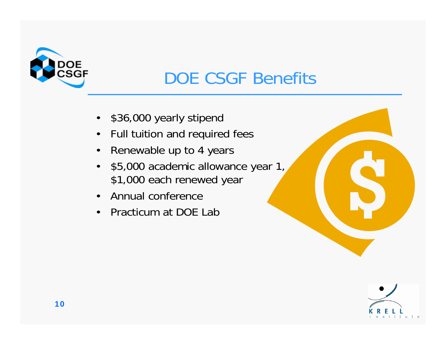

## DOE CSGF Benefits

- •\$36,000 yearly stipend
- $\bullet$ Full tuition and required fees
- $\bullet$ Renewable up to 4 years
- $\bullet$  \$5,000 academic allowance year 1, \$1,000 each renewed year
- •Annual conference
- •Practicum at DOE Lab

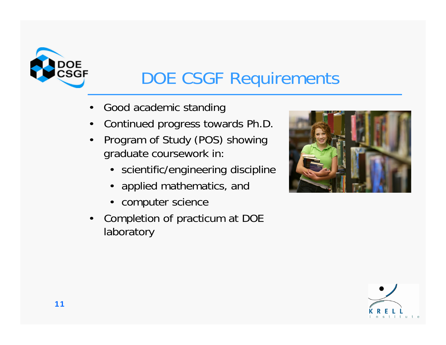

## DOE CSGF Requirements

- •Good academic standing
- •Continued progress towards Ph.D.
- • Program of Study (POS) showing graduate coursework in:
	- scientific/engineering discipline
	- $\bullet$ applied mathematics, and
	- •computer science
- $\bullet$  Completion of practicum at DOE laboratory



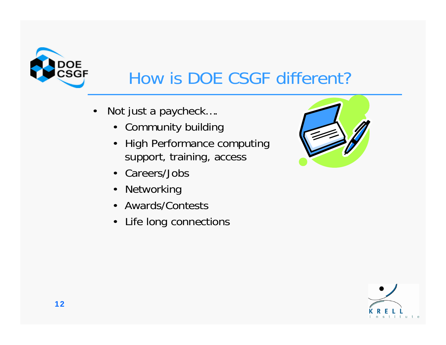

### How is DOE CSGF different?

- • Not just a paycheck….
	- Community building
	- High Performance computing support, training, access
	- Careers/Jobs
	- Networking
	- Awards/Contests
	- Life long connections



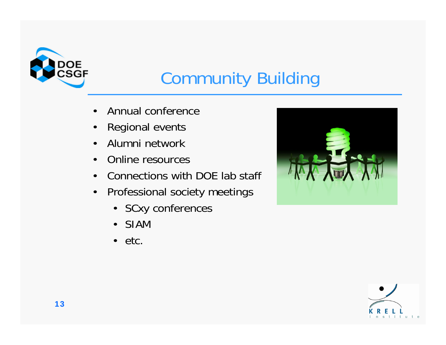

# Community Building

- •Annual conference
- •Regional events
- •Alumni network
- •Online resources
- •Connections with DOE lab staff
- $\bullet$  Professional society meetings
	- SCxy conferences
	- SIAM
	- etc.



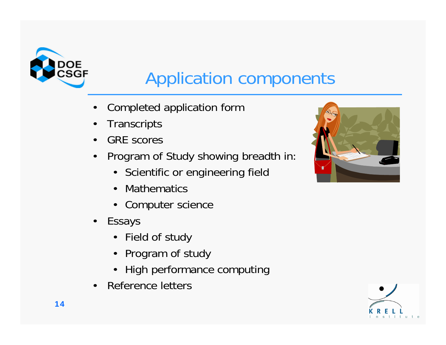

### Application components

- •Completed application form
- •**Transcripts**
- •GRE scores
- • Program of Study showing breadth in:
	- Scientific or engineering field
	- •Mathematics
	- Computer science
- Essays
	- Field of study
	- Program of study
	- High performance computing
- •Reference letters



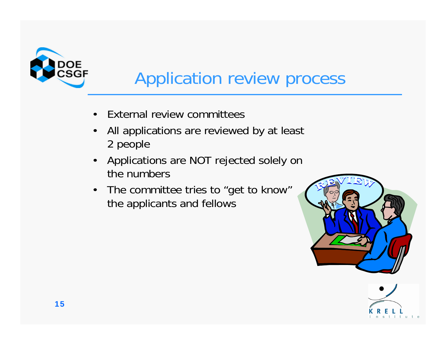

### Application review process

- •External review committees
- • All applications are reviewed by at least 2 people
- • Applications are NOT rejected solely on the numbers
- The committee tries to "get to know" the applicants and fellows



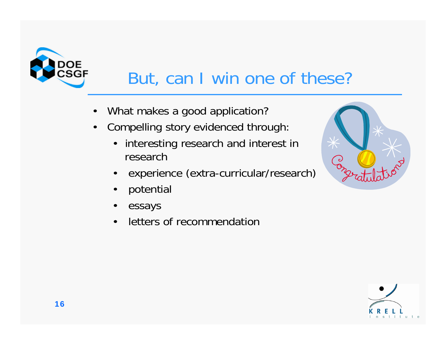

## But, can I win one of these?

- •What makes a good application?
- • Compelling story evidenced through:
	- $\bullet$  interesting research and interest in research
	- •experience (extra-curricular/research)
	- •potential
	- •essays
	- •letters of recommendation



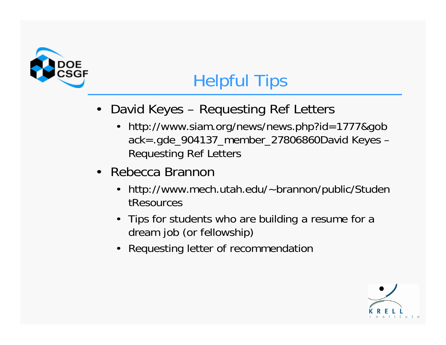

## Helpful Tips

- David Keyes Requesting Ref Letters
	- http://www.siam.org/news/news.php?id=1777&gob ack=.gde\_904137\_member\_27806860David Keyes – Requesting Ref Letters
- • Rebecca Brannon
	- • http://www.mech.utah.edu/~brannon/public/Studen tResources
	- Tips for students who are building a resume for a dream job (or fellowship)
	- Requesting letter of recommendation

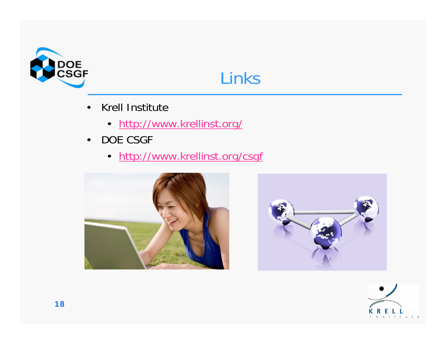



- • Krell Institute
	- [http://www.krellinst.org/](http://www2.krellinst.org/)
- $\bullet$  DOE CSGF
	- [http://www.krellinst.org/csgf](http://www2.krellinst.org/csgf)